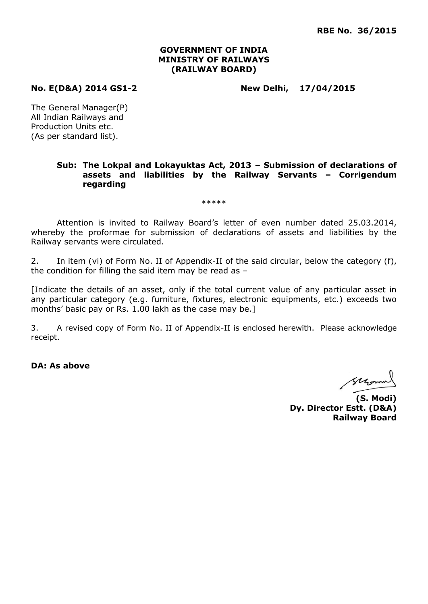### **GOVERNMENT OF INDIA MINISTRY OF RAILWAYS (RAILWAY BOARD)**

**No. E(D&A) 2014 GS1-2 New Delhi, 17/04/2015**

The General Manager(P) All Indian Railways and Production Units etc. (As per standard list).

### **Sub: The Lokpal and Lokayuktas Act, 2013 – Submission of declarations of assets and liabilities by the Railway Servants – Corrigendum regarding**

\*\*\*\*\*

Attention is invited to Railway Board's letter of even number dated 25.03.2014, whereby the proformae for submission of declarations of assets and liabilities by the Railway servants were circulated.

2. In item (vi) of Form No. II of Appendix-II of the said circular, below the category (f), the condition for filling the said item may be read as –

[Indicate the details of an asset, only if the total current value of any particular asset in any particular category (e.g. furniture, fixtures, electronic equipments, etc.) exceeds two months' basic pay or Rs. 1.00 lakh as the case may be.]

3. A revised copy of Form No. II of Appendix-II is enclosed herewith. Please acknowledge receipt.

**DA: As above**

Morrow

**(S. Modi) Dy. Director Estt. (D&A) Railway Board**